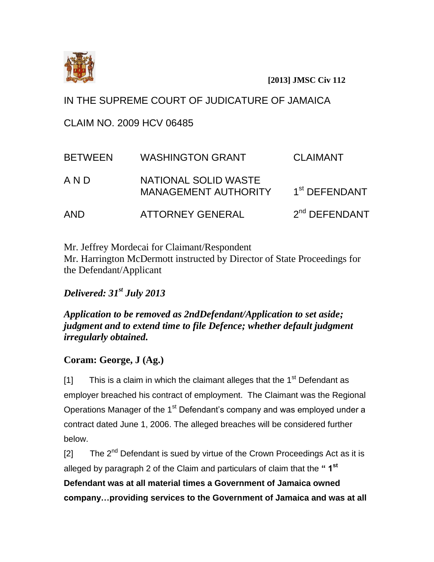

**[2013] JMSC Civ 112**

IN THE SUPREME COURT OF JUDICATURE OF JAMAICA

CLAIM NO. 2009 HCV 06485

| <b>BETWEEN</b> | <b>WASHINGTON GRANT</b>                             | <b>CLAIMANT</b>           |
|----------------|-----------------------------------------------------|---------------------------|
| A N D          | NATIONAL SOLID WASTE<br><b>MANAGEMENT AUTHORITY</b> | 1 <sup>st</sup> DEFENDANT |
| <b>AND</b>     | <b>ATTORNEY GENERAL</b>                             | 2 <sup>nd</sup> DEFENDANT |

Mr. Jeffrey Mordecai for Claimant/Respondent Mr. Harrington McDermott instructed by Director of State Proceedings for the Defendant/Applicant

*Delivered: 31st July 2013*

*Application to be removed as 2ndDefendant/Application to set aside; judgment and to extend time to file Defence; whether default judgment irregularly obtained.*

# **Coram: George, J (Ag.)**

[1] This is a claim in which the claimant alleges that the  $1<sup>st</sup>$  Defendant as employer breached his contract of employment. The Claimant was the Regional Operations Manager of the 1<sup>st</sup> Defendant's company and was employed under a contract dated June 1, 2006. The alleged breaches will be considered further below.

[2] The  $2^{nd}$  Defendant is sued by virtue of the Crown Proceedings Act as it is alleged by paragraph 2 of the Claim and particulars of claim that the **" 1st Defendant was at all material times a Government of Jamaica owned** 

**company…providing services to the Government of Jamaica and was at all**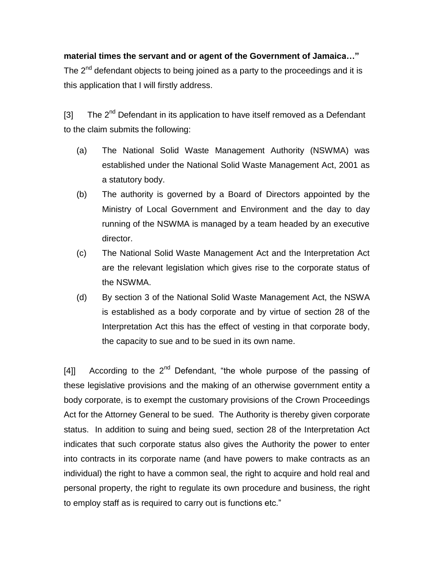## **material times the servant and or agent of the Government of Jamaica…"**

The 2<sup>nd</sup> defendant objects to being joined as a party to the proceedings and it is this application that I will firstly address.

[3] The  $2^{nd}$  Defendant in its application to have itself removed as a Defendant to the claim submits the following:

- (a) The National Solid Waste Management Authority (NSWMA) was established under the National Solid Waste Management Act, 2001 as a statutory body.
- (b) The authority is governed by a Board of Directors appointed by the Ministry of Local Government and Environment and the day to day running of the NSWMA is managed by a team headed by an executive director.
- (c) The National Solid Waste Management Act and the Interpretation Act are the relevant legislation which gives rise to the corporate status of the NSWMA.
- (d) By section 3 of the National Solid Waste Management Act, the NSWA is established as a body corporate and by virtue of section 28 of the Interpretation Act this has the effect of vesting in that corporate body, the capacity to sue and to be sued in its own name.

[4]] According to the  $2^{nd}$  Defendant, "the whole purpose of the passing of these legislative provisions and the making of an otherwise government entity a body corporate, is to exempt the customary provisions of the Crown Proceedings Act for the Attorney General to be sued. The Authority is thereby given corporate status. In addition to suing and being sued, section 28 of the Interpretation Act indicates that such corporate status also gives the Authority the power to enter into contracts in its corporate name (and have powers to make contracts as an individual) the right to have a common seal, the right to acquire and hold real and personal property, the right to regulate its own procedure and business, the right to employ staff as is required to carry out is functions etc."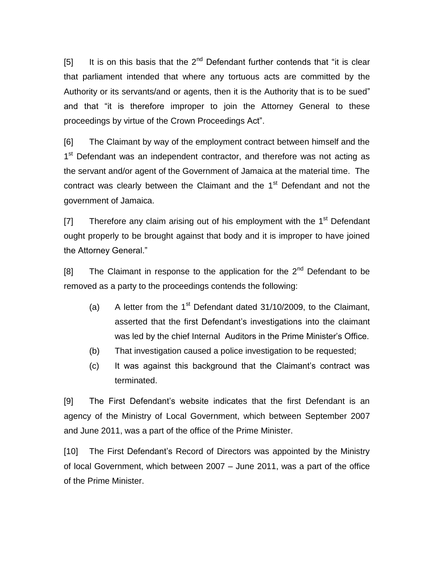[5] It is on this basis that the  $2^{nd}$  Defendant further contends that "it is clear that parliament intended that where any tortuous acts are committed by the Authority or its servants/and or agents, then it is the Authority that is to be sued" and that "it is therefore improper to join the Attorney General to these proceedings by virtue of the Crown Proceedings Act".

[6] The Claimant by way of the employment contract between himself and the 1<sup>st</sup> Defendant was an independent contractor, and therefore was not acting as the servant and/or agent of the Government of Jamaica at the material time. The contract was clearly between the Claimant and the 1<sup>st</sup> Defendant and not the government of Jamaica.

[7] Therefore any claim arising out of his employment with the  $1<sup>st</sup>$  Defendant ought properly to be brought against that body and it is improper to have joined the Attorney General."

[8] The Claimant in response to the application for the  $2^{nd}$  Defendant to be removed as a party to the proceedings contends the following:

- (a) A letter from the  $1<sup>st</sup>$  Defendant dated 31/10/2009, to the Claimant, asserted that the first Defendant's investigations into the claimant was led by the chief Internal Auditors in the Prime Minister's Office.
- (b) That investigation caused a police investigation to be requested;
- (c) It was against this background that the Claimant's contract was terminated.

[9] The First Defendant's website indicates that the first Defendant is an agency of the Ministry of Local Government, which between September 2007 and June 2011, was a part of the office of the Prime Minister.

[10] The First Defendant's Record of Directors was appointed by the Ministry of local Government, which between 2007 – June 2011, was a part of the office of the Prime Minister.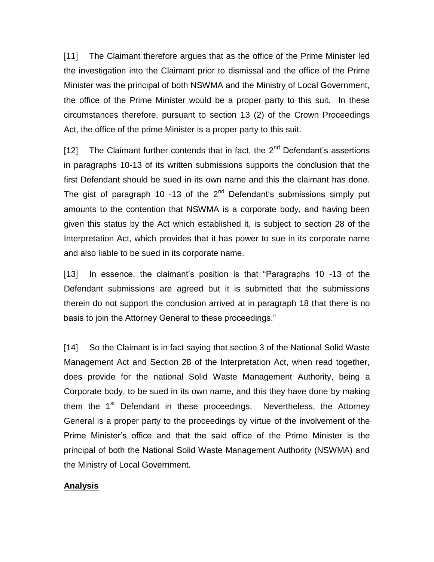[11] The Claimant therefore argues that as the office of the Prime Minister led the investigation into the Claimant prior to dismissal and the office of the Prime Minister was the principal of both NSWMA and the Ministry of Local Government, the office of the Prime Minister would be a proper party to this suit. In these circumstances therefore, pursuant to section 13 (2) of the Crown Proceedings Act, the office of the prime Minister is a proper party to this suit.

[12] The Claimant further contends that in fact, the  $2^{nd}$  Defendant's assertions in paragraphs 10-13 of its written submissions supports the conclusion that the first Defendant should be sued in its own name and this the claimant has done. The gist of paragraph 10 -13 of the  $2<sup>nd</sup>$  Defendant's submissions simply put amounts to the contention that NSWMA is a corporate body, and having been given this status by the Act which established it, is subject to section 28 of the Interpretation Act, which provides that it has power to sue in its corporate name and also liable to be sued in its corporate name.

[13] In essence, the claimant's position is that "Paragraphs 10 -13 of the Defendant submissions are agreed but it is submitted that the submissions therein do not support the conclusion arrived at in paragraph 18 that there is no basis to join the Attorney General to these proceedings."

[14] So the Claimant is in fact saying that section 3 of the National Solid Waste Management Act and Section 28 of the Interpretation Act, when read together, does provide for the national Solid Waste Management Authority, being a Corporate body, to be sued in its own name, and this they have done by making them the 1<sup>st</sup> Defendant in these proceedings. Nevertheless, the Attorney General is a proper party to the proceedings by virtue of the involvement of the Prime Minister's office and that the said office of the Prime Minister is the principal of both the National Solid Waste Management Authority (NSWMA) and the Ministry of Local Government.

## **Analysis**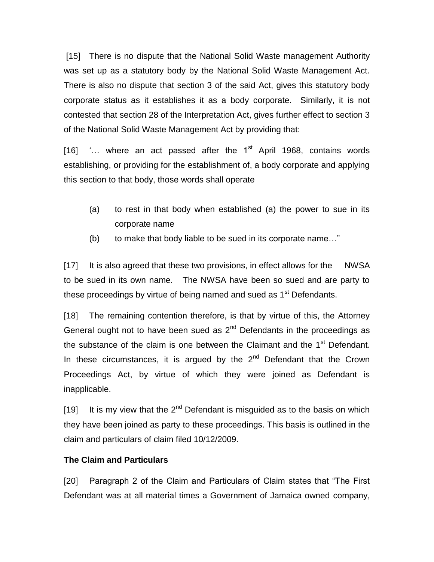[15] There is no dispute that the National Solid Waste management Authority was set up as a statutory body by the National Solid Waste Management Act. There is also no dispute that section 3 of the said Act, gives this statutory body corporate status as it establishes it as a body corporate. Similarly, it is not contested that section 28 of the Interpretation Act, gives further effect to section 3 of the National Solid Waste Management Act by providing that:

[16]  $\ldots$  where an act passed after the 1<sup>st</sup> April 1968, contains words establishing, or providing for the establishment of, a body corporate and applying this section to that body, those words shall operate

- (a) to rest in that body when established (a) the power to sue in its corporate name
- (b) to make that body liable to be sued in its corporate name…"

[17] It is also agreed that these two provisions, in effect allows for the NWSA to be sued in its own name. The NWSA have been so sued and are party to these proceedings by virtue of being named and sued as 1<sup>st</sup> Defendants.

[18] The remaining contention therefore, is that by virtue of this, the Attorney General ought not to have been sued as  $2<sup>nd</sup>$  Defendants in the proceedings as the substance of the claim is one between the Claimant and the  $1<sup>st</sup>$  Defendant. In these circumstances, it is argued by the  $2<sup>nd</sup>$  Defendant that the Crown Proceedings Act, by virtue of which they were joined as Defendant is inapplicable.

[19] It is my view that the  $2^{nd}$  Defendant is misguided as to the basis on which they have been joined as party to these proceedings. This basis is outlined in the claim and particulars of claim filed 10/12/2009.

## **The Claim and Particulars**

[20] Paragraph 2 of the Claim and Particulars of Claim states that "The First Defendant was at all material times a Government of Jamaica owned company,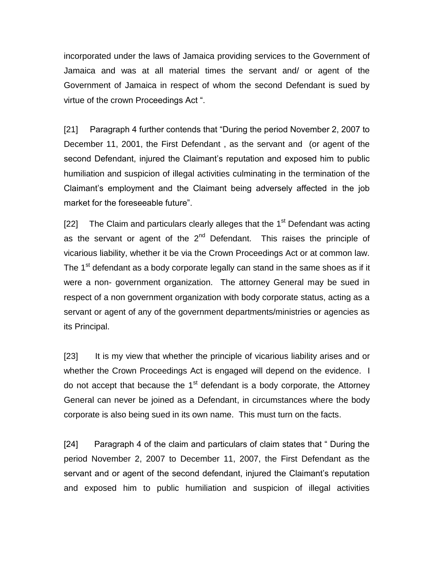incorporated under the laws of Jamaica providing services to the Government of Jamaica and was at all material times the servant and/ or agent of the Government of Jamaica in respect of whom the second Defendant is sued by virtue of the crown Proceedings Act ".

[21] Paragraph 4 further contends that "During the period November 2, 2007 to December 11, 2001, the First Defendant , as the servant and (or agent of the second Defendant, injured the Claimant's reputation and exposed him to public humiliation and suspicion of illegal activities culminating in the termination of the Claimant's employment and the Claimant being adversely affected in the job market for the foreseeable future".

[22] The Claim and particulars clearly alleges that the  $1<sup>st</sup>$  Defendant was acting as the servant or agent of the  $2<sup>nd</sup>$  Defendant. This raises the principle of vicarious liability, whether it be via the Crown Proceedings Act or at common law. The 1 $\mathrm{^{st}}$  defendant as a body corporate legally can stand in the same shoes as if it were a non- government organization. The attorney General may be sued in respect of a non government organization with body corporate status, acting as a servant or agent of any of the government departments/ministries or agencies as its Principal.

[23] It is my view that whether the principle of vicarious liability arises and or whether the Crown Proceedings Act is engaged will depend on the evidence. I do not accept that because the  $1<sup>st</sup>$  defendant is a body corporate, the Attorney General can never be joined as a Defendant, in circumstances where the body corporate is also being sued in its own name. This must turn on the facts.

[24] Paragraph 4 of the claim and particulars of claim states that " During the period November 2, 2007 to December 11, 2007, the First Defendant as the servant and or agent of the second defendant, injured the Claimant's reputation and exposed him to public humiliation and suspicion of illegal activities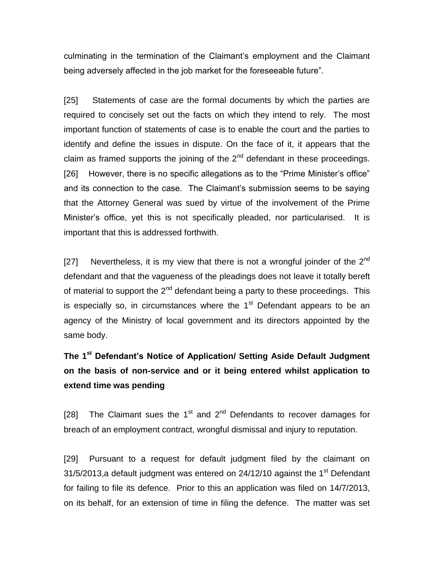culminating in the termination of the Claimant's employment and the Claimant being adversely affected in the job market for the foreseeable future".

[25] Statements of case are the formal documents by which the parties are required to concisely set out the facts on which they intend to rely. The most important function of statements of case is to enable the court and the parties to identify and define the issues in dispute. On the face of it, it appears that the claim as framed supports the joining of the  $2<sup>nd</sup>$  defendant in these proceedings. [26] However, there is no specific allegations as to the "Prime Minister's office" and its connection to the case. The Claimant's submission seems to be saying that the Attorney General was sued by virtue of the involvement of the Prime Minister's office, yet this is not specifically pleaded, nor particularised. It is important that this is addressed forthwith.

[27] Nevertheless, it is my view that there is not a wrongful joinder of the  $2^{nd}$ defendant and that the vagueness of the pleadings does not leave it totally bereft of material to support the  $2<sup>nd</sup>$  defendant being a party to these proceedings. This is especially so, in circumstances where the  $1<sup>st</sup>$  Defendant appears to be an agency of the Ministry of local government and its directors appointed by the same body.

**The 1st Defendant's Notice of Application/ Setting Aside Default Judgment on the basis of non-service and or it being entered whilst application to extend time was pending**

[28] The Claimant sues the  $1<sup>st</sup>$  and  $2<sup>nd</sup>$  Defendants to recover damages for breach of an employment contract, wrongful dismissal and injury to reputation.

[29] Pursuant to a request for default judgment filed by the claimant on 31/5/2013, a default judgment was entered on  $24/12/10$  against the 1<sup>st</sup> Defendant for failing to file its defence. Prior to this an application was filed on 14/7/2013, on its behalf, for an extension of time in filing the defence. The matter was set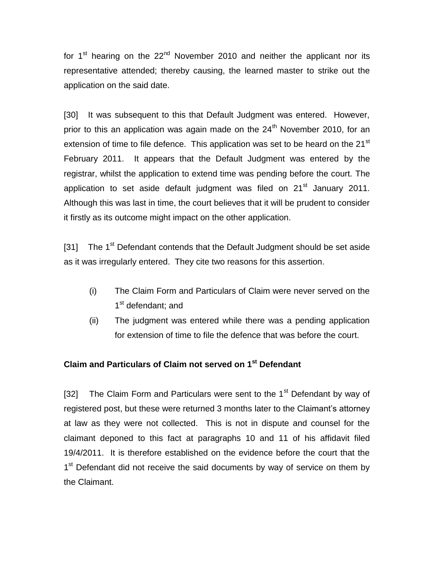for 1<sup>st</sup> hearing on the 22<sup>nd</sup> November 2010 and neither the applicant nor its representative attended; thereby causing, the learned master to strike out the application on the said date.

[30] It was subsequent to this that Default Judgment was entered. However, prior to this an application was again made on the  $24<sup>th</sup>$  November 2010, for an extension of time to file defence. This application was set to be heard on the  $21<sup>st</sup>$ February 2011. It appears that the Default Judgment was entered by the registrar, whilst the application to extend time was pending before the court. The application to set aside default judgment was filed on  $21<sup>st</sup>$  January 2011. Although this was last in time, the court believes that it will be prudent to consider it firstly as its outcome might impact on the other application.

[31] The  $1<sup>st</sup>$  Defendant contends that the Default Judgment should be set aside as it was irregularly entered. They cite two reasons for this assertion.

- (i) The Claim Form and Particulars of Claim were never served on the 1<sup>st</sup> defendant; and
- (ii) The judgment was entered while there was a pending application for extension of time to file the defence that was before the court.

## **Claim and Particulars of Claim not served on 1st Defendant**

[32] The Claim Form and Particulars were sent to the  $1<sup>st</sup>$  Defendant by way of registered post, but these were returned 3 months later to the Claimant's attorney at law as they were not collected. This is not in dispute and counsel for the claimant deponed to this fact at paragraphs 10 and 11 of his affidavit filed 19/4/2011. It is therefore established on the evidence before the court that the 1<sup>st</sup> Defendant did not receive the said documents by way of service on them by the Claimant.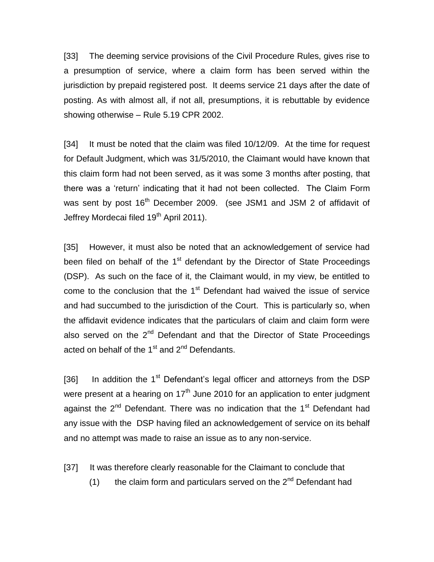[33] The deeming service provisions of the Civil Procedure Rules, gives rise to a presumption of service, where a claim form has been served within the jurisdiction by prepaid registered post. It deems service 21 days after the date of posting. As with almost all, if not all, presumptions, it is rebuttable by evidence showing otherwise – Rule 5.19 CPR 2002.

[34] It must be noted that the claim was filed 10/12/09. At the time for request for Default Judgment, which was 31/5/2010, the Claimant would have known that this claim form had not been served, as it was some 3 months after posting, that there was a 'return' indicating that it had not been collected. The Claim Form was sent by post 16<sup>th</sup> December 2009. (see JSM1 and JSM 2 of affidavit of Jeffrey Mordecai filed 19<sup>th</sup> April 2011).

[35] However, it must also be noted that an acknowledgement of service had been filed on behalf of the  $1<sup>st</sup>$  defendant by the Director of State Proceedings (DSP). As such on the face of it, the Claimant would, in my view, be entitled to come to the conclusion that the  $1<sup>st</sup>$  Defendant had waived the issue of service and had succumbed to the jurisdiction of the Court. This is particularly so, when the affidavit evidence indicates that the particulars of claim and claim form were also served on the  $2^{nd}$  Defendant and that the Director of State Proceedings acted on behalf of the  $1<sup>st</sup>$  and  $2<sup>nd</sup>$  Defendants.

[36] In addition the  $1<sup>st</sup>$  Defendant's legal officer and attorneys from the DSP were present at a hearing on  $17<sup>th</sup>$  June 2010 for an application to enter judgment against the  $2<sup>nd</sup>$  Defendant. There was no indication that the 1<sup>st</sup> Defendant had any issue with the DSP having filed an acknowledgement of service on its behalf and no attempt was made to raise an issue as to any non-service.

[37] It was therefore clearly reasonable for the Claimant to conclude that

(1) the claim form and particulars served on the  $2<sup>nd</sup>$  Defendant had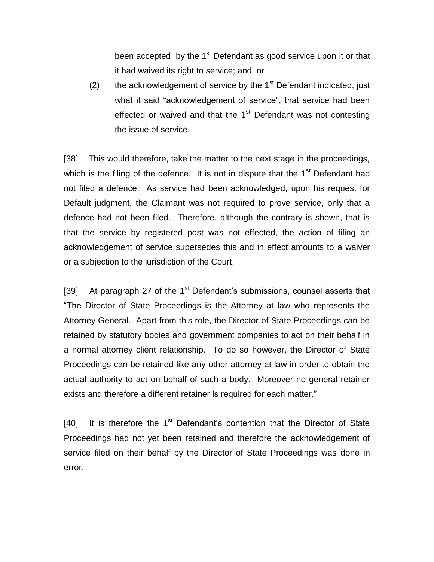been accepted by the  $1<sup>st</sup>$  Defendant as good service upon it or that it had waived its right to service; and or

(2) the acknowledgement of service by the  $1<sup>st</sup>$  Defendant indicated, just what it said "acknowledgement of service", that service had been effected or waived and that the  $1<sup>st</sup>$  Defendant was not contesting the issue of service.

[38] This would therefore, take the matter to the next stage in the proceedings, which is the filing of the defence. It is not in dispute that the 1<sup>st</sup> Defendant had not filed a defence. As service had been acknowledged, upon his request for Default judgment, the Claimant was not required to prove service, only that a defence had not been filed. Therefore, although the contrary is shown, that is that the service by registered post was not effected, the action of filing an acknowledgement of service supersedes this and in effect amounts to a waiver or a subjection to the jurisdiction of the Court.

[39] At paragraph 27 of the  $1<sup>st</sup>$  Defendant's submissions, counsel asserts that "The Director of State Proceedings is the Attorney at law who represents the Attorney General. Apart from this role, the Director of State Proceedings can be retained by statutory bodies and government companies to act on their behalf in a normal attorney client relationship. To do so however, the Director of State Proceedings can be retained like any other attorney at law in order to obtain the actual authority to act on behalf of such a body. Moreover no general retainer exists and therefore a different retainer is required for each matter."

[40] It is therefore the  $1<sup>st</sup>$  Defendant's contention that the Director of State Proceedings had not yet been retained and therefore the acknowledgement of service filed on their behalf by the Director of State Proceedings was done in error.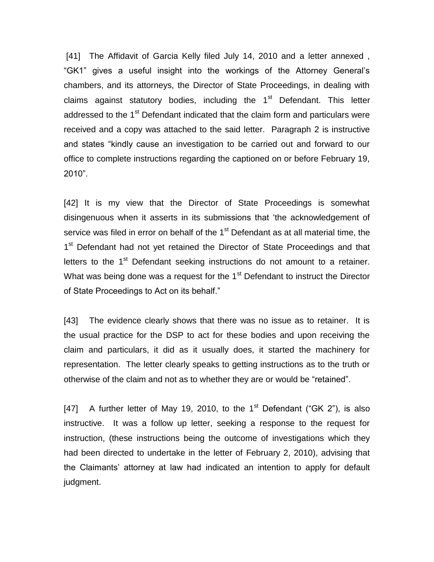[41] The Affidavit of Garcia Kelly filed July 14, 2010 and a letter annexed, "GK1" gives a useful insight into the workings of the Attorney General's chambers, and its attorneys, the Director of State Proceedings, in dealing with claims against statutory bodies, including the  $1<sup>st</sup>$  Defendant. This letter addressed to the  $1<sup>st</sup>$  Defendant indicated that the claim form and particulars were received and a copy was attached to the said letter. Paragraph 2 is instructive and states "kindly cause an investigation to be carried out and forward to our office to complete instructions regarding the captioned on or before February 19, 2010".

[42] It is my view that the Director of State Proceedings is somewhat disingenuous when it asserts in its submissions that 'the acknowledgement of service was filed in error on behalf of the  $1<sup>st</sup>$  Defendant as at all material time, the 1<sup>st</sup> Defendant had not yet retained the Director of State Proceedings and that letters to the  $1<sup>st</sup>$  Defendant seeking instructions do not amount to a retainer. What was being done was a request for the  $1<sup>st</sup>$  Defendant to instruct the Director of State Proceedings to Act on its behalf."

[43] The evidence clearly shows that there was no issue as to retainer. It is the usual practice for the DSP to act for these bodies and upon receiving the claim and particulars, it did as it usually does, it started the machinery for representation. The letter clearly speaks to getting instructions as to the truth or otherwise of the claim and not as to whether they are or would be "retained".

[47] A further letter of May 19, 2010, to the 1<sup>st</sup> Defendant ("GK 2"), is also instructive. It was a follow up letter, seeking a response to the request for instruction, (these instructions being the outcome of investigations which they had been directed to undertake in the letter of February 2, 2010), advising that the Claimants' attorney at law had indicated an intention to apply for default judgment.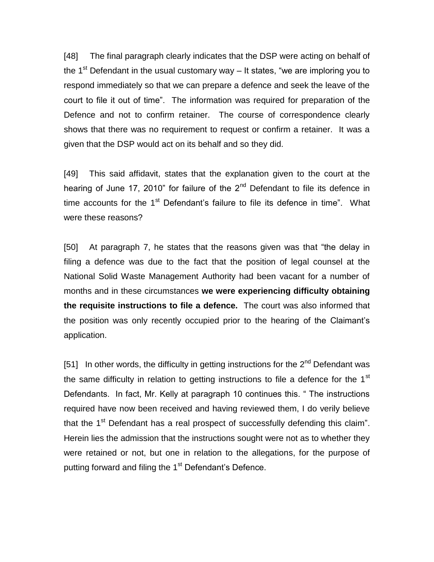[48] The final paragraph clearly indicates that the DSP were acting on behalf of the 1<sup>st</sup> Defendant in the usual customary way  $-$  It states, "we are imploring you to respond immediately so that we can prepare a defence and seek the leave of the court to file it out of time". The information was required for preparation of the Defence and not to confirm retainer. The course of correspondence clearly shows that there was no requirement to request or confirm a retainer. It was a given that the DSP would act on its behalf and so they did.

[49] This said affidavit, states that the explanation given to the court at the hearing of June 17, 2010" for failure of the 2<sup>nd</sup> Defendant to file its defence in time accounts for the  $1<sup>st</sup>$  Defendant's failure to file its defence in time". What were these reasons?

[50] At paragraph 7, he states that the reasons given was that "the delay in filing a defence was due to the fact that the position of legal counsel at the National Solid Waste Management Authority had been vacant for a number of months and in these circumstances **we were experiencing difficulty obtaining the requisite instructions to file a defence.** The court was also informed that the position was only recently occupied prior to the hearing of the Claimant's application.

[51] In other words, the difficulty in getting instructions for the  $2^{nd}$  Defendant was the same difficulty in relation to getting instructions to file a defence for the  $1<sup>st</sup>$ Defendants. In fact, Mr. Kelly at paragraph 10 continues this. " The instructions required have now been received and having reviewed them, I do verily believe that the 1<sup>st</sup> Defendant has a real prospect of successfully defending this claim". Herein lies the admission that the instructions sought were not as to whether they were retained or not, but one in relation to the allegations, for the purpose of putting forward and filing the 1<sup>st</sup> Defendant's Defence.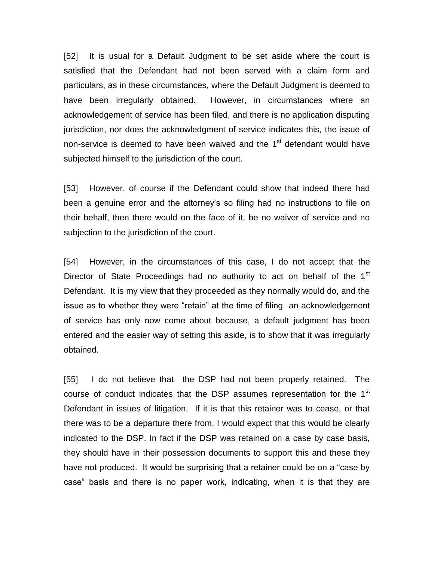[52] It is usual for a Default Judgment to be set aside where the court is satisfied that the Defendant had not been served with a claim form and particulars, as in these circumstances, where the Default Judgment is deemed to have been irregularly obtained. However, in circumstances where an acknowledgement of service has been filed, and there is no application disputing jurisdiction, nor does the acknowledgment of service indicates this, the issue of non-service is deemed to have been waived and the 1<sup>st</sup> defendant would have subjected himself to the jurisdiction of the court.

[53] However, of course if the Defendant could show that indeed there had been a genuine error and the attorney's so filing had no instructions to file on their behalf, then there would on the face of it, be no waiver of service and no subjection to the jurisdiction of the court.

[54] However, in the circumstances of this case, I do not accept that the Director of State Proceedings had no authority to act on behalf of the 1<sup>st</sup> Defendant. It is my view that they proceeded as they normally would do, and the issue as to whether they were "retain" at the time of filing an acknowledgement of service has only now come about because, a default judgment has been entered and the easier way of setting this aside, is to show that it was irregularly obtained.

[55] I do not believe that the DSP had not been properly retained. The course of conduct indicates that the DSP assumes representation for the 1<sup>st</sup> Defendant in issues of litigation. If it is that this retainer was to cease, or that there was to be a departure there from, I would expect that this would be clearly indicated to the DSP. In fact if the DSP was retained on a case by case basis, they should have in their possession documents to support this and these they have not produced. It would be surprising that a retainer could be on a "case by case" basis and there is no paper work, indicating, when it is that they are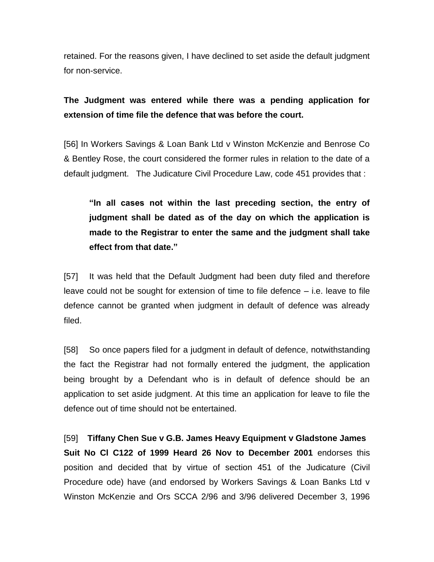retained. For the reasons given, I have declined to set aside the default judgment for non-service.

## **The Judgment was entered while there was a pending application for extension of time file the defence that was before the court.**

[56] In Workers Savings & Loan Bank Ltd v Winston McKenzie and Benrose Co & Bentley Rose, the court considered the former rules in relation to the date of a default judgment. The Judicature Civil Procedure Law, code 451 provides that :

**"In all cases not within the last preceding section, the entry of judgment shall be dated as of the day on which the application is made to the Registrar to enter the same and the judgment shall take effect from that date."**

[57] It was held that the Default Judgment had been duty filed and therefore leave could not be sought for extension of time to file defence – i.e. leave to file defence cannot be granted when judgment in default of defence was already filed.

[58] So once papers filed for a judgment in default of defence, notwithstanding the fact the Registrar had not formally entered the judgment, the application being brought by a Defendant who is in default of defence should be an application to set aside judgment. At this time an application for leave to file the defence out of time should not be entertained.

[59] **Tiffany Chen Sue v G.B. James Heavy Equipment v Gladstone James Suit No Cl C122 of 1999 Heard 26 Nov to December 2001** endorses this position and decided that by virtue of section 451 of the Judicature (Civil Procedure ode) have (and endorsed by Workers Savings & Loan Banks Ltd v Winston McKenzie and Ors SCCA 2/96 and 3/96 delivered December 3, 1996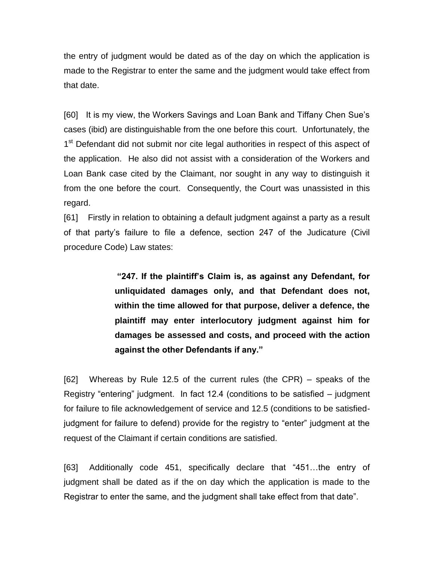the entry of judgment would be dated as of the day on which the application is made to the Registrar to enter the same and the judgment would take effect from that date.

[60] It is my view, the Workers Savings and Loan Bank and Tiffany Chen Sue's cases (ibid) are distinguishable from the one before this court. Unfortunately, the 1<sup>st</sup> Defendant did not submit nor cite legal authorities in respect of this aspect of the application. He also did not assist with a consideration of the Workers and Loan Bank case cited by the Claimant, nor sought in any way to distinguish it from the one before the court. Consequently, the Court was unassisted in this regard.

[61] Firstly in relation to obtaining a default judgment against a party as a result of that party's failure to file a defence, section 247 of the Judicature (Civil procedure Code) Law states:

> **"247. If the plaintiff's Claim is, as against any Defendant, for unliquidated damages only, and that Defendant does not, within the time allowed for that purpose, deliver a defence, the plaintiff may enter interlocutory judgment against him for damages be assessed and costs, and proceed with the action against the other Defendants if any."**

[62] Whereas by Rule 12.5 of the current rules (the CPR) – speaks of the Registry "entering" judgment. In fact 12.4 (conditions to be satisfied – judgment for failure to file acknowledgement of service and 12.5 (conditions to be satisfiedjudgment for failure to defend) provide for the registry to "enter" judgment at the request of the Claimant if certain conditions are satisfied.

[63] Additionally code 451, specifically declare that "451…the entry of judgment shall be dated as if the on day which the application is made to the Registrar to enter the same, and the judgment shall take effect from that date".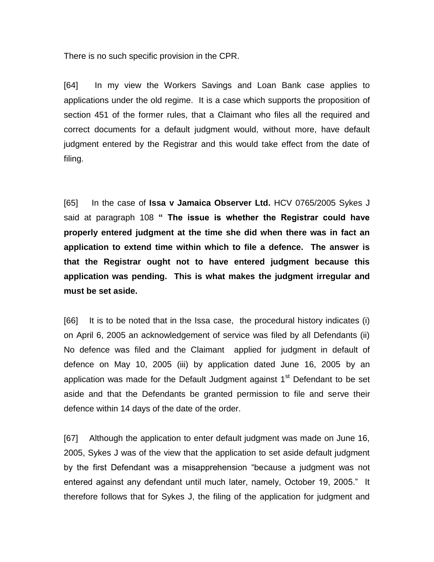There is no such specific provision in the CPR.

[64] In my view the Workers Savings and Loan Bank case applies to applications under the old regime. It is a case which supports the proposition of section 451 of the former rules, that a Claimant who files all the required and correct documents for a default judgment would, without more, have default judgment entered by the Registrar and this would take effect from the date of filing.

[65] In the case of **Issa v Jamaica Observer Ltd.** HCV 0765/2005 Sykes J said at paragraph 108 **" The issue is whether the Registrar could have properly entered judgment at the time she did when there was in fact an application to extend time within which to file a defence. The answer is that the Registrar ought not to have entered judgment because this application was pending. This is what makes the judgment irregular and must be set aside.**

[66] It is to be noted that in the Issa case, the procedural history indicates (i) on April 6, 2005 an acknowledgement of service was filed by all Defendants (ii) No defence was filed and the Claimant applied for judgment in default of defence on May 10, 2005 (iii) by application dated June 16, 2005 by an application was made for the Default Judgment against 1<sup>st</sup> Defendant to be set aside and that the Defendants be granted permission to file and serve their defence within 14 days of the date of the order.

[67] Although the application to enter default judgment was made on June 16, 2005, Sykes J was of the view that the application to set aside default judgment by the first Defendant was a misapprehension "because a judgment was not entered against any defendant until much later, namely, October 19, 2005." It therefore follows that for Sykes J, the filing of the application for judgment and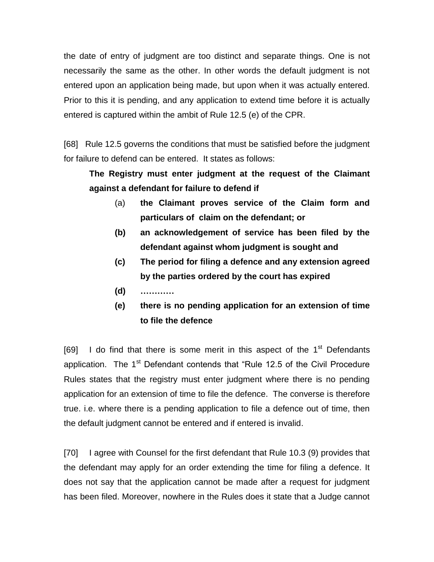the date of entry of judgment are too distinct and separate things. One is not necessarily the same as the other. In other words the default judgment is not entered upon an application being made, but upon when it was actually entered. Prior to this it is pending, and any application to extend time before it is actually entered is captured within the ambit of Rule 12.5 (e) of the CPR.

[68] Rule 12.5 governs the conditions that must be satisfied before the judgment for failure to defend can be entered. It states as follows:

# **The Registry must enter judgment at the request of the Claimant against a defendant for failure to defend if**

- (a) **the Claimant proves service of the Claim form and particulars of claim on the defendant; or**
- **(b) an acknowledgement of service has been filed by the defendant against whom judgment is sought and**
- **(c) The period for filing a defence and any extension agreed by the parties ordered by the court has expired**
- **(d) …………**
- **(e) there is no pending application for an extension of time to file the defence**

[69] I do find that there is some merit in this aspect of the  $1<sup>st</sup>$  Defendants application. The 1<sup>st</sup> Defendant contends that "Rule 12.5 of the Civil Procedure Rules states that the registry must enter judgment where there is no pending application for an extension of time to file the defence. The converse is therefore true. i.e. where there is a pending application to file a defence out of time, then the default judgment cannot be entered and if entered is invalid.

[70] I agree with Counsel for the first defendant that Rule 10.3 (9) provides that the defendant may apply for an order extending the time for filing a defence. It does not say that the application cannot be made after a request for judgment has been filed. Moreover, nowhere in the Rules does it state that a Judge cannot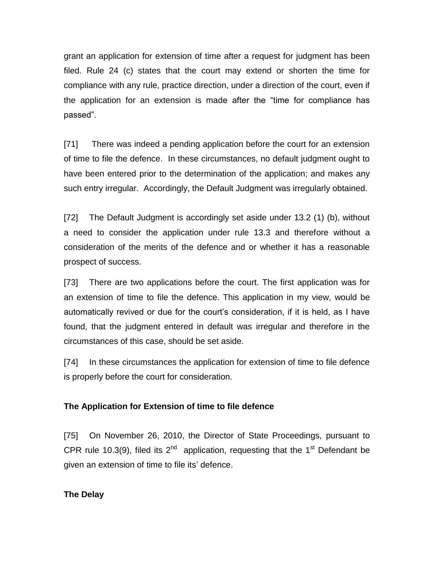grant an application for extension of time after a request for judgment has been filed. Rule 24 (c) states that the court may extend or shorten the time for compliance with any rule, practice direction, under a direction of the court, even if the application for an extension is made after the "time for compliance has passed".

[71] There was indeed a pending application before the court for an extension of time to file the defence. In these circumstances, no default judgment ought to have been entered prior to the determination of the application; and makes any such entry irregular. Accordingly, the Default Judgment was irregularly obtained.

[72] The Default Judgment is accordingly set aside under 13.2 (1) (b), without a need to consider the application under rule 13.3 and therefore without a consideration of the merits of the defence and or whether it has a reasonable prospect of success.

[73] There are two applications before the court. The first application was for an extension of time to file the defence. This application in my view, would be automatically revived or due for the court's consideration, if it is held, as I have found, that the judgment entered in default was irregular and therefore in the circumstances of this case, should be set aside.

[74] In these circumstances the application for extension of time to file defence is properly before the court for consideration.

#### **The Application for Extension of time to file defence**

[75] On November 26, 2010, the Director of State Proceedings, pursuant to CPR rule 10.3(9), filed its  $2^{nd}$  application, requesting that the 1<sup>st</sup> Defendant be given an extension of time to file its' defence.

#### **The Delay**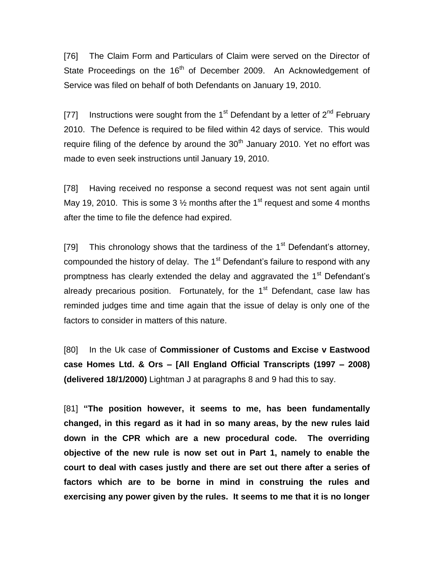[76] The Claim Form and Particulars of Claim were served on the Director of State Proceedings on the 16<sup>th</sup> of December 2009. An Acknowledgement of Service was filed on behalf of both Defendants on January 19, 2010.

[77] Instructions were sought from the 1<sup>st</sup> Defendant by a letter of  $2^{nd}$  February 2010. The Defence is required to be filed within 42 days of service. This would require filing of the defence by around the  $30<sup>th</sup>$  January 2010. Yet no effort was made to even seek instructions until January 19, 2010.

[78] Having received no response a second request was not sent again until May 19, 2010. This is some 3  $\frac{1}{2}$  months after the 1<sup>st</sup> request and some 4 months after the time to file the defence had expired.

[79] This chronology shows that the tardiness of the  $1<sup>st</sup>$  Defendant's attorney, compounded the history of delay. The  $1<sup>st</sup>$  Defendant's failure to respond with any promptness has clearly extended the delay and aggravated the  $1<sup>st</sup>$  Defendant's already precarious position. Fortunately, for the  $1<sup>st</sup>$  Defendant, case law has reminded judges time and time again that the issue of delay is only one of the factors to consider in matters of this nature.

[80] In the Uk case of **Commissioner of Customs and Excise v Eastwood case Homes Ltd. & Ors – [All England Official Transcripts (1997 – 2008) (delivered 18/1/2000)** Lightman J at paragraphs 8 and 9 had this to say.

[81] **"The position however, it seems to me, has been fundamentally changed, in this regard as it had in so many areas, by the new rules laid down in the CPR which are a new procedural code. The overriding objective of the new rule is now set out in Part 1, namely to enable the court to deal with cases justly and there are set out there after a series of factors which are to be borne in mind in construing the rules and exercising any power given by the rules. It seems to me that it is no longer**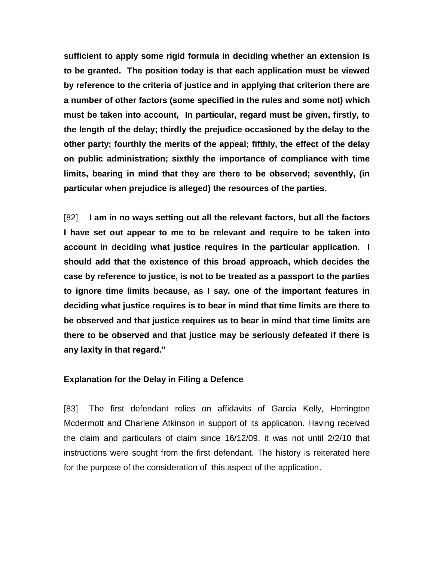**sufficient to apply some rigid formula in deciding whether an extension is to be granted. The position today is that each application must be viewed by reference to the criteria of justice and in applying that criterion there are a number of other factors (some specified in the rules and some not) which must be taken into account, In particular, regard must be given, firstly, to the length of the delay; thirdly the prejudice occasioned by the delay to the other party; fourthly the merits of the appeal; fifthly, the effect of the delay on public administration; sixthly the importance of compliance with time limits, bearing in mind that they are there to be observed; seventhly, (in particular when prejudice is alleged) the resources of the parties.**

[82] **I am in no ways setting out all the relevant factors, but all the factors I have set out appear to me to be relevant and require to be taken into account in deciding what justice requires in the particular application. I should add that the existence of this broad approach, which decides the case by reference to justice, is not to be treated as a passport to the parties to ignore time limits because, as I say, one of the important features in deciding what justice requires is to bear in mind that time limits are there to be observed and that justice requires us to bear in mind that time limits are there to be observed and that justice may be seriously defeated if there is any laxity in that regard."**

#### **Explanation for the Delay in Filing a Defence**

[83] The first defendant relies on affidavits of Garcia Kelly, Herrington Mcdermott and Charlene Atkinson in support of its application. Having received the claim and particulars of claim since 16/12/09, it was not until 2/2/10 that instructions were sought from the first defendant. The history is reiterated here for the purpose of the consideration of this aspect of the application.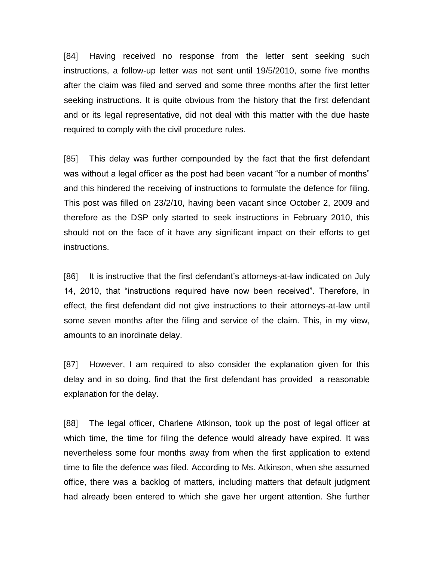[84] Having received no response from the letter sent seeking such instructions, a follow-up letter was not sent until 19/5/2010, some five months after the claim was filed and served and some three months after the first letter seeking instructions. It is quite obvious from the history that the first defendant and or its legal representative, did not deal with this matter with the due haste required to comply with the civil procedure rules.

[85] This delay was further compounded by the fact that the first defendant was without a legal officer as the post had been vacant "for a number of months" and this hindered the receiving of instructions to formulate the defence for filing. This post was filled on 23/2/10, having been vacant since October 2, 2009 and therefore as the DSP only started to seek instructions in February 2010, this should not on the face of it have any significant impact on their efforts to get instructions.

[86] It is instructive that the first defendant's attorneys-at-law indicated on July 14, 2010, that "instructions required have now been received". Therefore, in effect, the first defendant did not give instructions to their attorneys-at-law until some seven months after the filing and service of the claim. This, in my view, amounts to an inordinate delay.

[87] However, I am required to also consider the explanation given for this delay and in so doing, find that the first defendant has provided a reasonable explanation for the delay.

[88] The legal officer, Charlene Atkinson, took up the post of legal officer at which time, the time for filing the defence would already have expired. It was nevertheless some four months away from when the first application to extend time to file the defence was filed. According to Ms. Atkinson, when she assumed office, there was a backlog of matters, including matters that default judgment had already been entered to which she gave her urgent attention. She further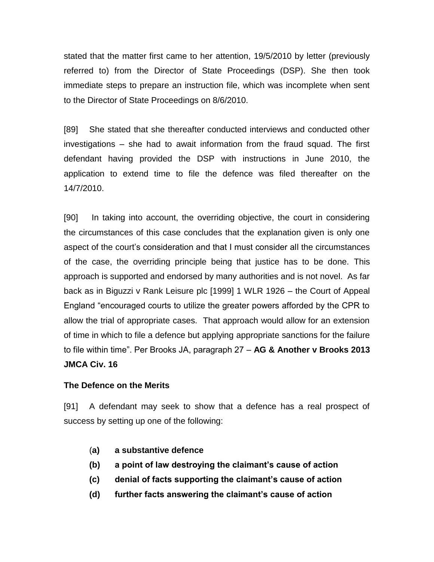stated that the matter first came to her attention, 19/5/2010 by letter (previously referred to) from the Director of State Proceedings (DSP). She then took immediate steps to prepare an instruction file, which was incomplete when sent to the Director of State Proceedings on 8/6/2010.

[89] She stated that she thereafter conducted interviews and conducted other investigations – she had to await information from the fraud squad. The first defendant having provided the DSP with instructions in June 2010, the application to extend time to file the defence was filed thereafter on the 14/7/2010.

[90] In taking into account, the overriding objective, the court in considering the circumstances of this case concludes that the explanation given is only one aspect of the court's consideration and that I must consider all the circumstances of the case, the overriding principle being that justice has to be done. This approach is supported and endorsed by many authorities and is not novel. As far back as in Biguzzi v Rank Leisure plc [1999] 1 WLR 1926 – the Court of Appeal England "encouraged courts to utilize the greater powers afforded by the CPR to allow the trial of appropriate cases. That approach would allow for an extension of time in which to file a defence but applying appropriate sanctions for the failure to file within time". Per Brooks JA, paragraph 27 – **AG & Another v Brooks 2013 JMCA Civ. 16**

## **The Defence on the Merits**

[91] A defendant may seek to show that a defence has a real prospect of success by setting up one of the following:

- (**a) a substantive defence**
- **(b) a point of law destroying the claimant's cause of action**
- **(c) denial of facts supporting the claimant's cause of action**
- **(d) further facts answering the claimant's cause of action**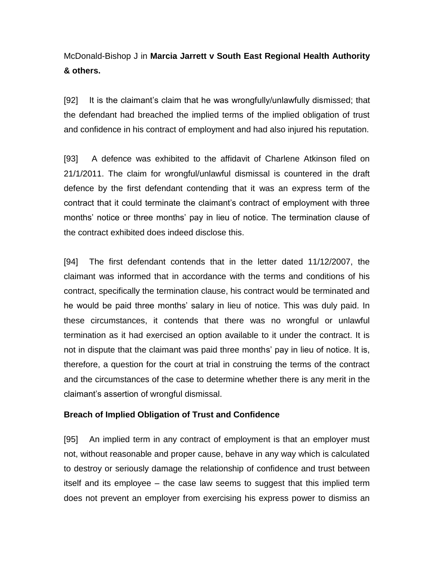# McDonald-Bishop J in **Marcia Jarrett v South East Regional Health Authority & others.**

[92] It is the claimant's claim that he was wrongfully/unlawfully dismissed; that the defendant had breached the implied terms of the implied obligation of trust and confidence in his contract of employment and had also injured his reputation.

[93] A defence was exhibited to the affidavit of Charlene Atkinson filed on 21/1/2011. The claim for wrongful/unlawful dismissal is countered in the draft defence by the first defendant contending that it was an express term of the contract that it could terminate the claimant's contract of employment with three months' notice or three months' pay in lieu of notice. The termination clause of the contract exhibited does indeed disclose this.

[94] The first defendant contends that in the letter dated 11/12/2007, the claimant was informed that in accordance with the terms and conditions of his contract, specifically the termination clause, his contract would be terminated and he would be paid three months' salary in lieu of notice. This was duly paid. In these circumstances, it contends that there was no wrongful or unlawful termination as it had exercised an option available to it under the contract. It is not in dispute that the claimant was paid three months' pay in lieu of notice. It is, therefore, a question for the court at trial in construing the terms of the contract and the circumstances of the case to determine whether there is any merit in the claimant's assertion of wrongful dismissal.

## **Breach of Implied Obligation of Trust and Confidence**

[95] An implied term in any contract of employment is that an employer must not, without reasonable and proper cause, behave in any way which is calculated to destroy or seriously damage the relationship of confidence and trust between itself and its employee – the case law seems to suggest that this implied term does not prevent an employer from exercising his express power to dismiss an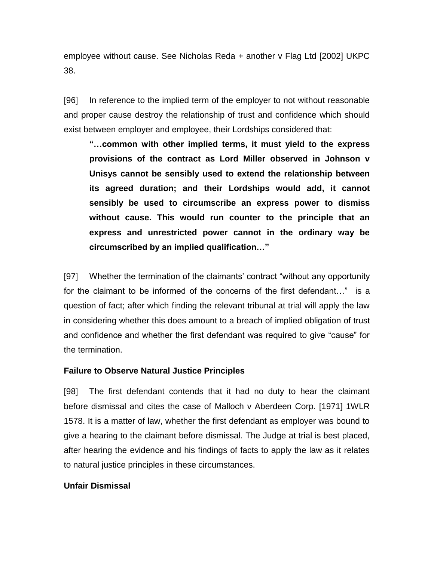employee without cause. See Nicholas Reda + another v Flag Ltd [2002] UKPC 38.

[96] In reference to the implied term of the employer to not without reasonable and proper cause destroy the relationship of trust and confidence which should exist between employer and employee, their Lordships considered that:

**"…common with other implied terms, it must yield to the express provisions of the contract as Lord Miller observed in Johnson v Unisys cannot be sensibly used to extend the relationship between its agreed duration; and their Lordships would add, it cannot sensibly be used to circumscribe an express power to dismiss without cause. This would run counter to the principle that an express and unrestricted power cannot in the ordinary way be circumscribed by an implied qualification…"**

[97] Whether the termination of the claimants' contract "without any opportunity for the claimant to be informed of the concerns of the first defendant…" is a question of fact; after which finding the relevant tribunal at trial will apply the law in considering whether this does amount to a breach of implied obligation of trust and confidence and whether the first defendant was required to give "cause" for the termination.

## **Failure to Observe Natural Justice Principles**

[98] The first defendant contends that it had no duty to hear the claimant before dismissal and cites the case of Malloch v Aberdeen Corp. [1971] 1WLR 1578. It is a matter of law, whether the first defendant as employer was bound to give a hearing to the claimant before dismissal. The Judge at trial is best placed, after hearing the evidence and his findings of facts to apply the law as it relates to natural justice principles in these circumstances.

## **Unfair Dismissal**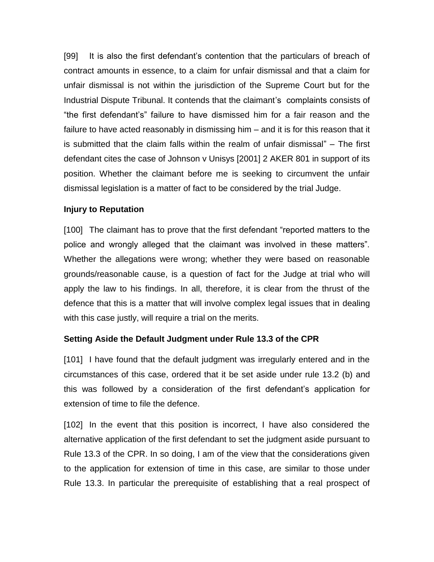[99] It is also the first defendant's contention that the particulars of breach of contract amounts in essence, to a claim for unfair dismissal and that a claim for unfair dismissal is not within the jurisdiction of the Supreme Court but for the Industrial Dispute Tribunal. It contends that the claimant's complaints consists of "the first defendant's" failure to have dismissed him for a fair reason and the failure to have acted reasonably in dismissing him – and it is for this reason that it is submitted that the claim falls within the realm of unfair dismissal" – The first defendant cites the case of Johnson v Unisys [2001] 2 AKER 801 in support of its position. Whether the claimant before me is seeking to circumvent the unfair dismissal legislation is a matter of fact to be considered by the trial Judge.

### **Injury to Reputation**

[100] The claimant has to prove that the first defendant "reported matters to the police and wrongly alleged that the claimant was involved in these matters". Whether the allegations were wrong; whether they were based on reasonable grounds/reasonable cause, is a question of fact for the Judge at trial who will apply the law to his findings. In all, therefore, it is clear from the thrust of the defence that this is a matter that will involve complex legal issues that in dealing with this case justly, will require a trial on the merits.

## **Setting Aside the Default Judgment under Rule 13.3 of the CPR**

[101] I have found that the default judgment was irregularly entered and in the circumstances of this case, ordered that it be set aside under rule 13.2 (b) and this was followed by a consideration of the first defendant's application for extension of time to file the defence.

[102] In the event that this position is incorrect, I have also considered the alternative application of the first defendant to set the judgment aside pursuant to Rule 13.3 of the CPR. In so doing, I am of the view that the considerations given to the application for extension of time in this case, are similar to those under Rule 13.3. In particular the prerequisite of establishing that a real prospect of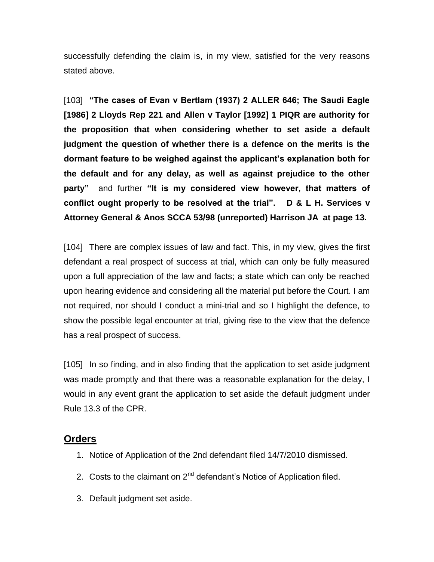successfully defending the claim is, in my view, satisfied for the very reasons stated above.

[103] **"The cases of Evan v Bertlam (1937) 2 ALLER 646; The Saudi Eagle [1986] 2 Lloyds Rep 221 and Allen v Taylor [1992] 1 PIQR are authority for the proposition that when considering whether to set aside a default judgment the question of whether there is a defence on the merits is the dormant feature to be weighed against the applicant's explanation both for the default and for any delay, as well as against prejudice to the other party"** and further **"It is my considered view however, that matters of conflict ought properly to be resolved at the trial". D & L H. Services v Attorney General & Anos SCCA 53/98 (unreported) Harrison JA at page 13.**

[104] There are complex issues of law and fact. This, in my view, gives the first defendant a real prospect of success at trial, which can only be fully measured upon a full appreciation of the law and facts; a state which can only be reached upon hearing evidence and considering all the material put before the Court. I am not required, nor should I conduct a mini-trial and so I highlight the defence, to show the possible legal encounter at trial, giving rise to the view that the defence has a real prospect of success.

[105] In so finding, and in also finding that the application to set aside judgment was made promptly and that there was a reasonable explanation for the delay, I would in any event grant the application to set aside the default judgment under Rule 13.3 of the CPR.

## **Orders**

- 1. Notice of Application of the 2nd defendant filed 14/7/2010 dismissed.
- 2. Costs to the claimant on 2<sup>nd</sup> defendant's Notice of Application filed.
- 3. Default judgment set aside.